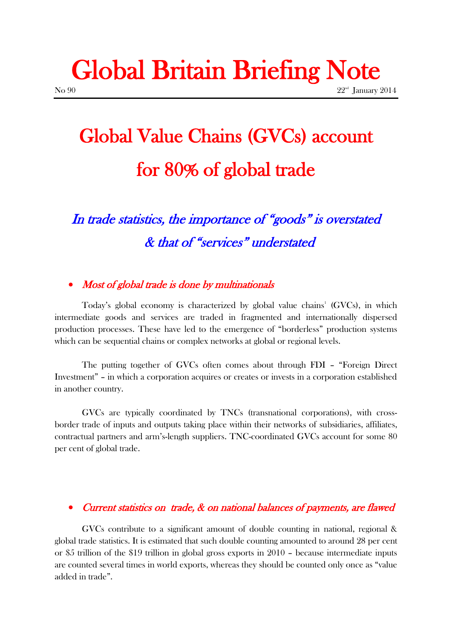# Global Britain Briefing Note  $N<sub>0</sub>$  90  $22<sup>nd</sup>$  January 2014

# Global Value Chains (GVCs) account for 80% of global trade

In trade statistics, the importance of "goods" is overstated & that of "services" understated

### • Most of global trade is done by multinationals

Today's global economy is characterized by global value chains<sup>1</sup> (GVCs), in which intermediate goods and services are traded in fragmented and internationally dispersed production processes. These have led to the emergence of "borderless" production systems which can be sequential chains or complex networks at global or regional levels.

The putting together of GVCs often comes about through FDI – "Foreign Direct Investment" – in which a corporation acquires or creates or invests in a corporation established in another country.

GVCs are typically coordinated by TNCs (transnational corporations), with crossborder trade of inputs and outputs taking place within their networks of subsidiaries, affiliates, contractual partners and arm's-length suppliers. TNC-coordinated GVCs account for some 80 per cent of global trade.

#### • Current statistics on trade,  $\&$  on national balances of payments, are flawed

GVCs contribute to a significant amount of double counting in national, regional & global trade statistics. It is estimated that such double counting amounted to around 28 per cent or \$5 trillion of the \$19 trillion in global gross exports in 2010 – because intermediate inputs are counted several times in world exports, whereas they should be counted only once as "value added in trade".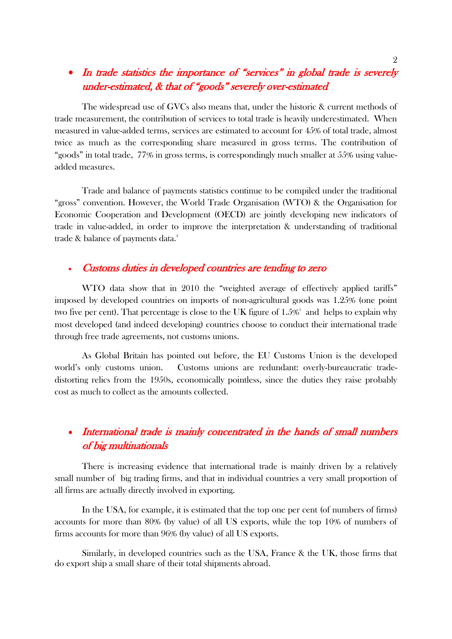# • In trade statistics the importance of "services" in global trade is severely under-estimated, & that of "goods" severely over-estimated

The widespread use of GVCs also means that, under the historic & current methods of trade measurement, the contribution of services to total trade is heavily underestimated. When measured in value-added terms, services are estimated to account for 45% of total trade, almost twice as much as the corresponding share measured in gross terms. The contribution of "goods" in total trade, 77% in gross terms, is correspondingly much smaller at 55% using valueadded measures.

Trade and balance of payments statistics continue to be compiled under the traditional "gross" convention. However, the World Trade Organisation (WTO) & the Organisation for Economic Cooperation and Development (OECD) are jointly developing new indicators of trade in value-added, in order to improve the interpretation & understanding of traditional trade  $\&$  balance of payments data. $^2$ 

#### Customs duties in developed countries are tending to zero

WTO data show that in 2010 the "weighted average of effectively applied tariffs" imposed by developed countries on imports of non-agricultural goods was 1.25% (one point two five per cent). That percentage is close to the UK figure of  $1.5\%$  and helps to explain why most developed (and indeed developing) countries choose to conduct their international trade through free trade agreements, not customs unions.

As Global Britain has pointed out before, the EU Customs Union is the developed world's only customs union. Customs unions are redundant: overly-bureaucratic tradedistorting relics from the 1950s, economically pointless, since the duties they raise probably cost as much to collect as the amounts collected.

# • International trade is mainly concentrated in the hands of small numbers of big multinationals

There is increasing evidence that international trade is mainly driven by a relatively small number of big trading firms, and that in individual countries a very small proportion of all firms are actually directly involved in exporting.

In the USA, for example, it is estimated that the top one per cent (of numbers of firms) accounts for more than 80% (by value) of all US exports, while the top 10% of numbers of firms accounts for more than 96% (by value) of all US exports.

Similarly, in developed countries such as the USA, France & the UK, those firms that do export ship a small share of their total shipments abroad.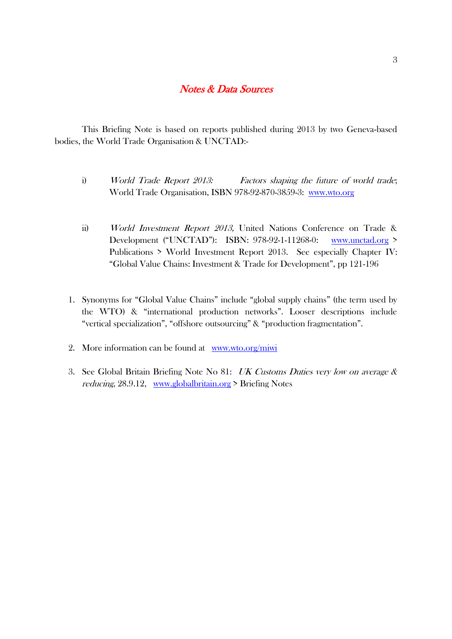### Notes & Data Sources

This Briefing Note is based on reports published during 2013 by two Geneva-based bodies, the World Trade Organisation & UNCTAD:-

- i) World Trade Report 2013: Factors shaping the future of world trade; World Trade Organisation, ISBN 978-92-870-3859-3: [www.wto.org](http://www.wto.org/)
- ii) World Investment Report 2013, United Nations Conference on Trade & Development ("UNCTAD"): ISBN: 978-92-1-11268-0: [www.unctad.org](http://www.unctad.org/) > Publications > World Investment Report 2013. See especially Chapter IV: "Global Value Chains: Investment & Trade for Development", pp 121-196
- 1. Synonyms for "Global Value Chains" include "global supply chains" (the term used by the WTO) & "international production networks". Looser descriptions include "vertical specialization", "offshore outsourcing" & "production fragmentation".
- 2. More information can be found at [www.wto.org/miwi](http://www.wto.org/miwi)
- 3. See Global Britain Briefing Note No 81: UK Customs Duties very low on average & reducing, 28.9.12, [www.globalbritain.org](http://www.globalbritain.org/) > Briefing Notes